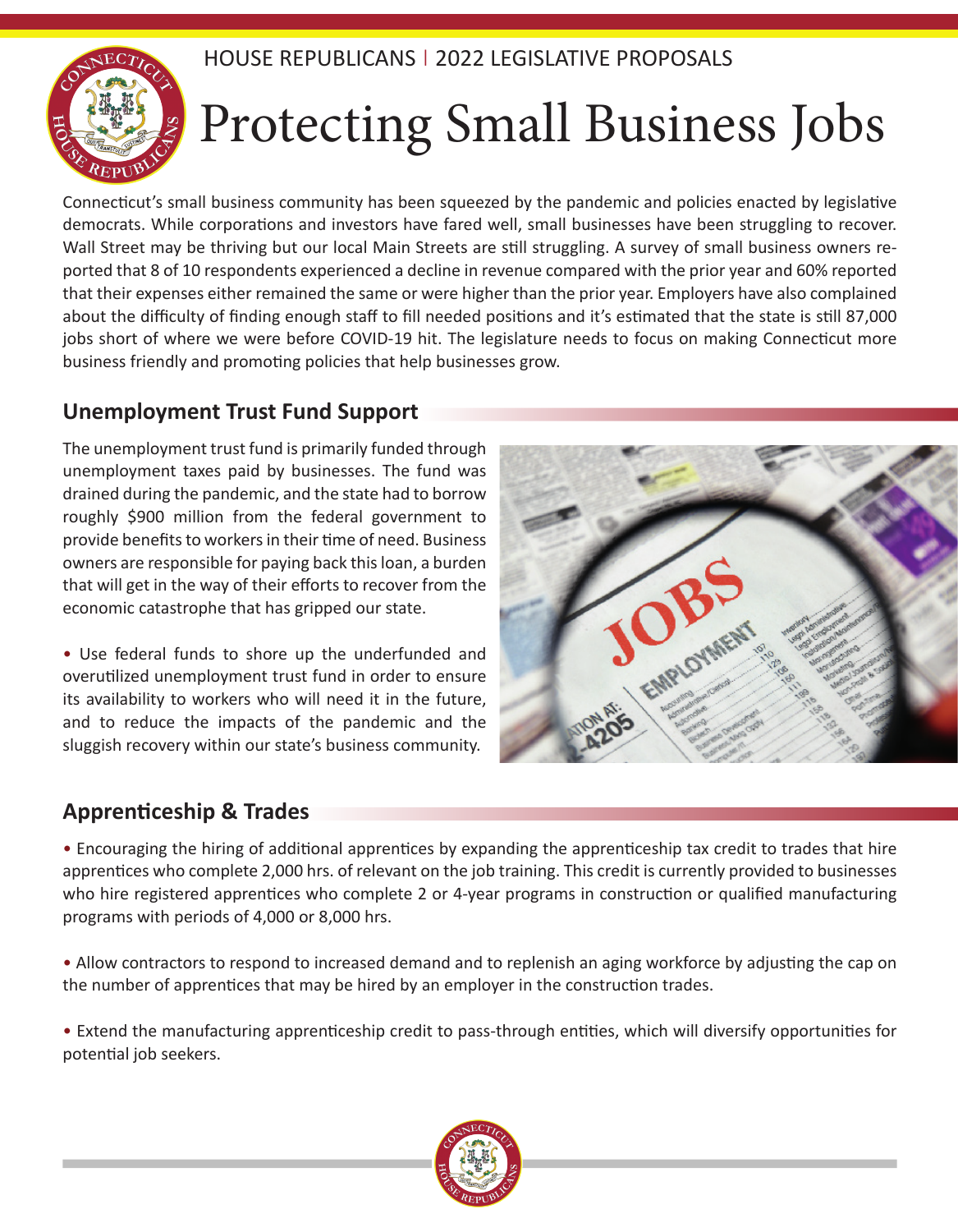

# Protecting Small Business Jobs

Connecticut's small business community has been squeezed by the pandemic and policies enacted by legislative democrats. While corporations and investors have fared well, small businesses have been struggling to recover. Wall Street may be thriving but our local Main Streets are still struggling. A survey of small business owners reported that 8 of 10 respondents experienced a decline in revenue compared with the prior year and 60% reported that their expenses either remained the same or were higher than the prior year. Employers have also complained about the difficulty of finding enough staff to fill needed positions and it's estimated that the state is still 87,000 jobs short of where we were before COVID-19 hit. The legislature needs to focus on making Connecticut more business friendly and promoting policies that help businesses grow.

#### **Unemployment Trust Fund Support**

The unemployment trust fund is primarily funded through unemployment taxes paid by businesses. The fund was drained during the pandemic, and the state had to borrow roughly \$900 million from the federal government to provide benefits to workers in their time of need. Business owners are responsible for paying back this loan, a burden that will get in the way of their efforts to recover from the economic catastrophe that has gripped our state.

• Use federal funds to shore up the underfunded and overutilized unemployment trust fund in order to ensure its availability to workers who will need it in the future, and to reduce the impacts of the pandemic and the sluggish recovery within our state's business community.



### **Apprenticeship & Trades**

• Encouraging the hiring of additional apprentices by expanding the apprenticeship tax credit to trades that hire apprentices who complete 2,000 hrs. of relevant on the job training. This credit is currently provided to businesses who hire registered apprentices who complete 2 or 4-year programs in construction or qualified manufacturing programs with periods of 4,000 or 8,000 hrs.

• Allow contractors to respond to increased demand and to replenish an aging workforce by adjusting the cap on the number of apprentices that may be hired by an employer in the construction trades.

• Extend the manufacturing apprenticeship credit to pass-through entities, which will diversify opportunities for potential job seekers.